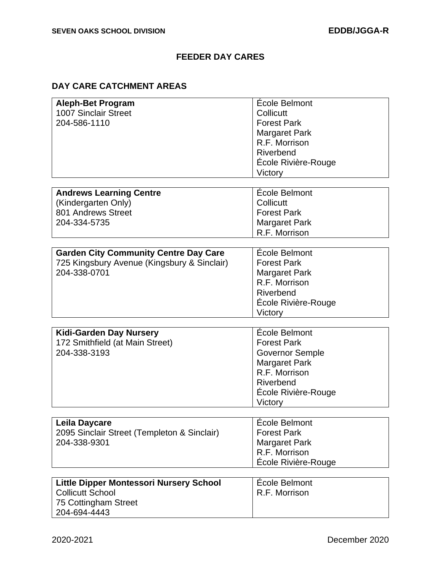## **FEEDER DAY CARES**

## **DAY CARE CATCHMENT AREAS**

| <b>Aleph-Bet Program</b> | École Belmont        |
|--------------------------|----------------------|
| 1007 Sinclair Street     | Collicutt            |
| 204-586-1110             | <b>Forest Park</b>   |
|                          | <b>Margaret Park</b> |
|                          | R.F. Morrison        |
|                          | Riverbend            |
|                          | École Rivière-Rouge  |
|                          | Victory              |
|                          |                      |

| <b>Andrews Learning Centre</b> | Ecole Belmont        |
|--------------------------------|----------------------|
| Kindergarten Only)             | <b>Collicutt</b>     |
| 801 Andrews Street             | <b>Forest Park</b>   |
| 204-334-5735                   | <b>Margaret Park</b> |
|                                | R.F. Morrison        |

| <b>Garden City Community Centre Day Care</b> | <b>École Belmont</b> |
|----------------------------------------------|----------------------|
| 725 Kingsbury Avenue (Kingsbury & Sinclair)  | <b>Forest Park</b>   |
| 204-338-0701                                 | <b>Margaret Park</b> |
|                                              | R.F. Morrison        |
|                                              | Riverbend            |
|                                              | École Rivière-Rouge  |
|                                              | Victory              |

| <b>Kidi-Garden Day Nursery</b>  | École Belmont          |
|---------------------------------|------------------------|
| 172 Smithfield (at Main Street) | <b>Forest Park</b>     |
| 204-338-3193                    | <b>Governor Semple</b> |
|                                 | <b>Margaret Park</b>   |
|                                 | R.F. Morrison          |
|                                 | Riverbend              |
|                                 | École Rivière-Rouge    |
|                                 | Victory                |

| Leila Daycare                               | Ecole Belmont        |
|---------------------------------------------|----------------------|
| 2095 Sinclair Street (Templeton & Sinclair) | <b>Forest Park</b>   |
| 204-338-9301                                | <b>Margaret Park</b> |
|                                             | R.F. Morrison        |
|                                             | École Rivière-Rouge  |

| <b>Little Dipper Montessori Nursery School</b> | <b>Ecole Belmont</b> |
|------------------------------------------------|----------------------|
| ' Collicutt School                             | R.F. Morrison        |
| 75 Cottingham Street                           |                      |
| 204-694-4443                                   |                      |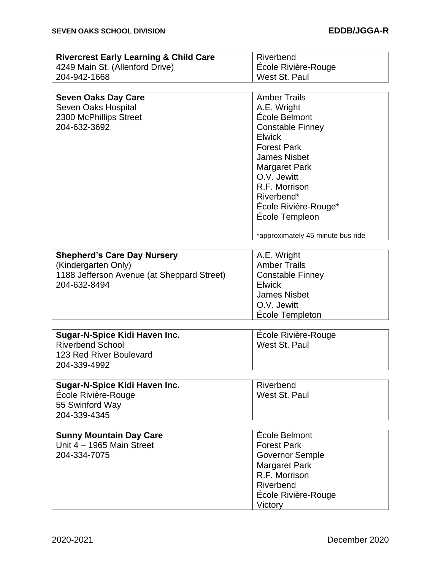| <b>Rivercrest Early Learning &amp; Child Care</b>                                                                       | Riverbend                                                                                                                                                                                                                                                                                         |
|-------------------------------------------------------------------------------------------------------------------------|---------------------------------------------------------------------------------------------------------------------------------------------------------------------------------------------------------------------------------------------------------------------------------------------------|
| 4249 Main St. (Allenford Drive)                                                                                         | École Rivière-Rouge                                                                                                                                                                                                                                                                               |
| 204-942-1668                                                                                                            | West St. Paul                                                                                                                                                                                                                                                                                     |
| <b>Seven Oaks Day Care</b><br>Seven Oaks Hospital<br>2300 McPhillips Street<br>204-632-3692                             | <b>Amber Trails</b><br>A.E. Wright<br>École Belmont<br><b>Constable Finney</b><br><b>Elwick</b><br><b>Forest Park</b><br><b>James Nisbet</b><br><b>Margaret Park</b><br>O.V. Jewitt<br>R.F. Morrison<br>Riverbend*<br>École Rivière-Rouge*<br>École Templeon<br>*approximately 45 minute bus ride |
|                                                                                                                         |                                                                                                                                                                                                                                                                                                   |
| <b>Shepherd's Care Day Nursery</b><br>(Kindergarten Only)<br>1188 Jefferson Avenue (at Sheppard Street)<br>204-632-8494 | A.E. Wright<br><b>Amber Trails</b><br><b>Constable Finney</b><br><b>Elwick</b><br><b>James Nisbet</b><br>O.V. Jewitt<br>École Templeton                                                                                                                                                           |
| Sugar-N-Spice Kidi Haven Inc.<br><b>Riverbend School</b><br>123 Red River Boulevard<br>204-339-4992                     | École Rivière-Rouge<br>West St. Paul                                                                                                                                                                                                                                                              |
| Sugar-N-Spice Kidi Haven Inc.<br>École Rivière-Rouge<br>55 Swinford Way<br>204-339-4345                                 | Riverbend<br>West St. Paul                                                                                                                                                                                                                                                                        |
|                                                                                                                         |                                                                                                                                                                                                                                                                                                   |
| <b>Sunny Mountain Day Care</b><br>Unit 4 - 1965 Main Street<br>204-334-7075                                             | École Belmont<br><b>Forest Park</b><br><b>Governor Semple</b><br><b>Margaret Park</b><br>R.F. Morrison<br>Riverbend<br>École Rivière-Rouge<br>Victory                                                                                                                                             |